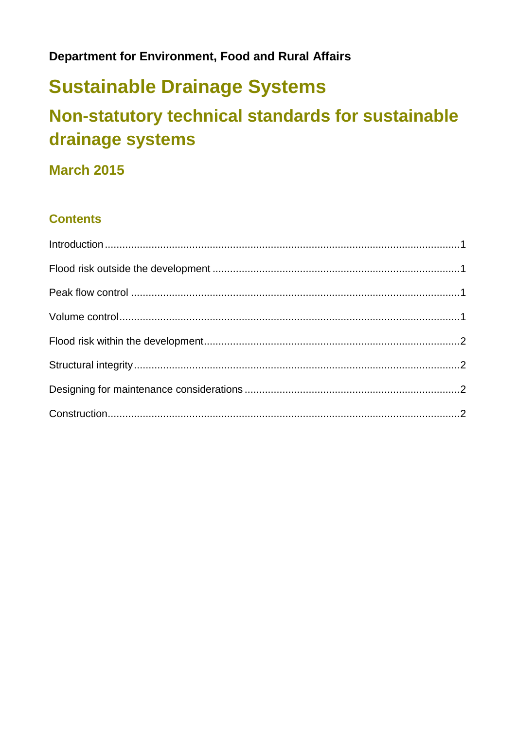#### **Department for Environment, Food and Rural Affairs**

# **Sustainable Drainage Systems**

## Non-statutory technical standards for sustainable drainage systems

#### **March 2015**

#### **Contents**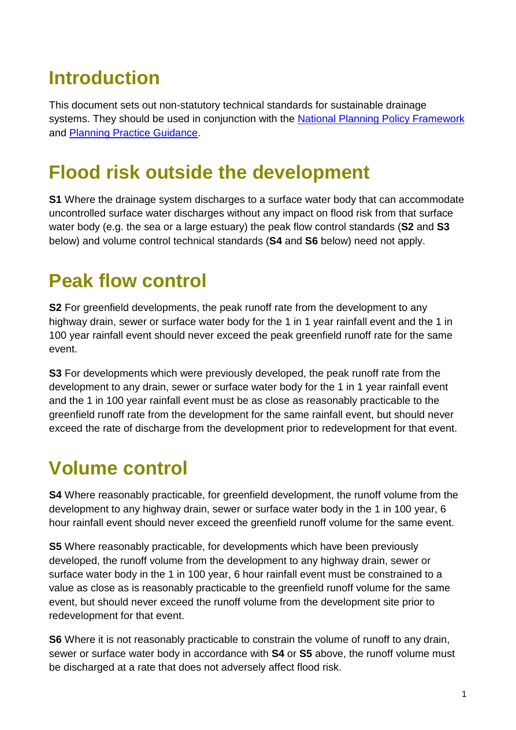# <span id="page-1-0"></span>**Introduction**

This document sets out non-statutory technical standards for sustainable drainage systems. They should be used in conjunction with the [National Planning Policy Framework](http://planningguidance.planningportal.gov.uk/blog/policy/) and [Planning Practice Guidance.](http://planningguidance.planningportal.gov.uk/blog/guidance/)

# <span id="page-1-1"></span>**Flood risk outside the development**

**S1** Where the drainage system discharges to a surface water body that can accommodate uncontrolled surface water discharges without any impact on flood risk from that surface water body (e.g. the sea or a large estuary) the peak flow control standards (**S2** and **S3** below) and volume control technical standards (**S4** and **S6** below) need not apply.

#### <span id="page-1-2"></span>**Peak flow control**

**S2** For greenfield developments, the peak runoff rate from the development to any highway drain, sewer or surface water body for the 1 in 1 year rainfall event and the 1 in 100 year rainfall event should never exceed the peak greenfield runoff rate for the same event.

**S3** For developments which were previously developed, the peak runoff rate from the development to any drain, sewer or surface water body for the 1 in 1 year rainfall event and the 1 in 100 year rainfall event must be as close as reasonably practicable to the greenfield runoff rate from the development for the same rainfall event, but should never exceed the rate of discharge from the development prior to redevelopment for that event.

## <span id="page-1-3"></span>**Volume control**

**S4** Where reasonably practicable, for greenfield development, the runoff volume from the development to any highway drain, sewer or surface water body in the 1 in 100 year, 6 hour rainfall event should never exceed the greenfield runoff volume for the same event.

**S5** Where reasonably practicable, for developments which have been previously developed, the runoff volume from the development to any highway drain, sewer or surface water body in the 1 in 100 year, 6 hour rainfall event must be constrained to a value as close as is reasonably practicable to the greenfield runoff volume for the same event, but should never exceed the runoff volume from the development site prior to redevelopment for that event.

**S6** Where it is not reasonably practicable to constrain the volume of runoff to any drain, sewer or surface water body in accordance with **S4** or **S5** above, the runoff volume must be discharged at a rate that does not adversely affect flood risk.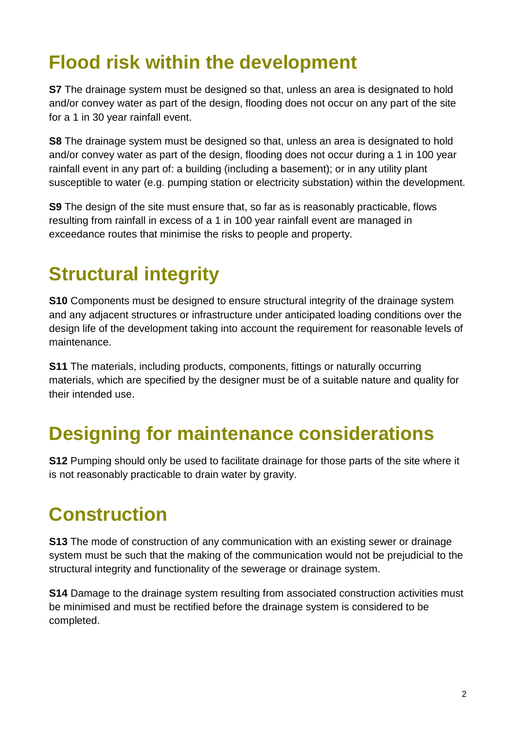# <span id="page-2-0"></span>**Flood risk within the development**

**S7** The drainage system must be designed so that, unless an area is designated to hold and/or convey water as part of the design, flooding does not occur on any part of the site for a 1 in 30 year rainfall event.

**S8** The drainage system must be designed so that, unless an area is designated to hold and/or convey water as part of the design, flooding does not occur during a 1 in 100 year rainfall event in any part of: a building (including a basement); or in any utility plant susceptible to water (e.g. pumping station or electricity substation) within the development.

**S9** The design of the site must ensure that, so far as is reasonably practicable, flows resulting from rainfall in excess of a 1 in 100 year rainfall event are managed in exceedance routes that minimise the risks to people and property.

# <span id="page-2-1"></span>**Structural integrity**

**S10** Components must be designed to ensure structural integrity of the drainage system and any adjacent structures or infrastructure under anticipated loading conditions over the design life of the development taking into account the requirement for reasonable levels of maintenance.

**S11** The materials, including products, components, fittings or naturally occurring materials, which are specified by the designer must be of a suitable nature and quality for their intended use.

#### <span id="page-2-2"></span>**Designing for maintenance considerations**

**S12** Pumping should only be used to facilitate drainage for those parts of the site where it is not reasonably practicable to drain water by gravity.

## <span id="page-2-3"></span>**Construction**

**S13** The mode of construction of any communication with an existing sewer or drainage system must be such that the making of the communication would not be prejudicial to the structural integrity and functionality of the sewerage or drainage system.

**S14** Damage to the drainage system resulting from associated construction activities must be minimised and must be rectified before the drainage system is considered to be completed.